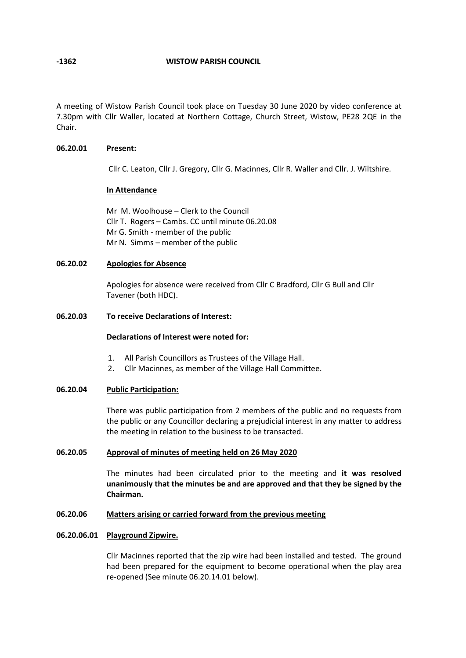**-1362 WISTOW PARISH COUNCIL**

A meeting of Wistow Parish Council took place on Tuesday 30 June 2020 by video conference at 7.30pm with Cllr Waller, located at Northern Cottage, Church Street, Wistow, PE28 2QE in the Chair.

## **06.20.01 Present:**

Cllr C. Leaton, Cllr J. Gregory, Cllr G. Macinnes, Cllr R. Waller and Cllr. J. Wiltshire.

## **In Attendance**

Mr M. Woolhouse – Clerk to the Council Cllr T. Rogers – Cambs. CC until minute 06.20.08 Mr G. Smith - member of the public Mr N. Simms – member of the public

## **06.20.02 Apologies for Absence**

Apologies for absence were received from Cllr C Bradford, Cllr G Bull and Cllr Tavener (both HDC).

## **06.20.03 To receive Declarations of Interest:**

## **Declarations of Interest were noted for:**

- 1. All Parish Councillors as Trustees of the Village Hall.
- 2. Cllr Macinnes, as member of the Village Hall Committee.

## **06.20.04 Public Participation:**

There was public participation from 2 members of the public and no requests from the public or any Councillor declaring a prejudicial interest in any matter to address the meeting in relation to the business to be transacted.

## **06.20.05 Approval of minutes of meeting held on 26 May 2020**

The minutes had been circulated prior to the meeting and **it was resolved unanimously that the minutes be and are approved and that they be signed by the Chairman.**

#### **06.20.06 Matters arising or carried forward from the previous meeting**

## **06.20.06.01 Playground Zipwire.**

Cllr Macinnes reported that the zip wire had been installed and tested. The ground had been prepared for the equipment to become operational when the play area re-opened (See minute 06.20.14.01 below).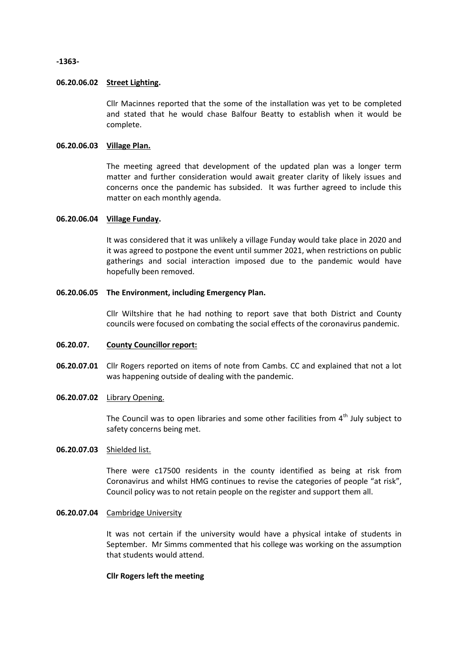**-1363-**

## **06.20.06.02 Street Lighting.**

Cllr Macinnes reported that the some of the installation was yet to be completed and stated that he would chase Balfour Beatty to establish when it would be complete.

## **06.20.06.03 Village Plan.**

The meeting agreed that development of the updated plan was a longer term matter and further consideration would await greater clarity of likely issues and concerns once the pandemic has subsided. It was further agreed to include this matter on each monthly agenda.

## **06.20.06.04 Village Funday.**

It was considered that it was unlikely a village Funday would take place in 2020 and it was agreed to postpone the event until summer 2021, when restrictions on public gatherings and social interaction imposed due to the pandemic would have hopefully been removed.

### **06.20.06.05 The Environment, including Emergency Plan.**

Cllr Wiltshire that he had nothing to report save that both District and County councils were focused on combating the social effects of the coronavirus pandemic.

#### **06.20.07. County Councillor report:**

06.20.07.01 Cllr Rogers reported on items of note from Cambs. CC and explained that not a lot was happening outside of dealing with the pandemic.

#### **06.20.07.02** Library Opening.

The Council was to open libraries and some other facilities from  $4<sup>th</sup>$  July subject to safety concerns being met.

#### **06.20.07.03** Shielded list.

There were c17500 residents in the county identified as being at risk from Coronavirus and whilst HMG continues to revise the categories of people "at risk", Council policy was to not retain people on the register and support them all.

## **06.20.07.04** Cambridge University

It was not certain if the university would have a physical intake of students in September. Mr Simms commented that his college was working on the assumption that students would attend.

### **Cllr Rogers left the meeting**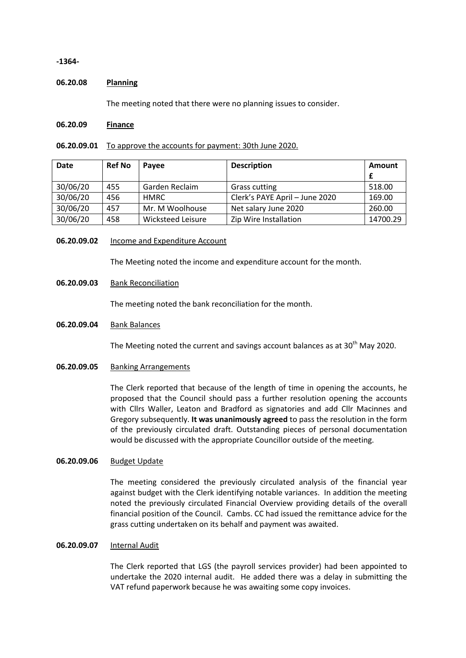**-1364-**

### **06.20.08 Planning**

The meeting noted that there were no planning issues to consider.

#### **06.20.09 Finance**

## **06.20.09.01** To approve the accounts for payment: 30th June 2020.

| <b>Date</b> | <b>Ref No</b> | <b>Pavee</b>      | <b>Description</b>             | Amount   |
|-------------|---------------|-------------------|--------------------------------|----------|
| 30/06/20    | 455           | Garden Reclaim    | <b>Grass cutting</b>           | 518.00   |
| 30/06/20    | 456           | <b>HMRC</b>       | Clerk's PAYE April - June 2020 | 169.00   |
| 30/06/20    | 457           | Mr. M Woolhouse   | Net salary June 2020           | 260.00   |
| 30/06/20    | 458           | Wicksteed Leisure | Zip Wire Installation          | 14700.29 |

### **06.20.09.02** Income and Expenditure Account

The Meeting noted the income and expenditure account for the month.

### **06.20.09.03** Bank Reconciliation

The meeting noted the bank reconciliation for the month.

### **06.20.09.04** Bank Balances

The Meeting noted the current and savings account balances as at  $30<sup>th</sup>$  May 2020.

### **06.20.09.05** Banking Arrangements

The Clerk reported that because of the length of time in opening the accounts, he proposed that the Council should pass a further resolution opening the accounts with Cllrs Waller, Leaton and Bradford as signatories and add Cllr Macinnes and Gregory subsequently. **It was unanimously agreed** to pass the resolution in the form of the previously circulated draft. Outstanding pieces of personal documentation would be discussed with the appropriate Councillor outside of the meeting.

## **06.20.09.06** Budget Update

The meeting considered the previously circulated analysis of the financial year against budget with the Clerk identifying notable variances. In addition the meeting noted the previously circulated Financial Overview providing details of the overall financial position of the Council. Cambs. CC had issued the remittance advice for the grass cutting undertaken on its behalf and payment was awaited.

## **06.20.09.07** Internal Audit

The Clerk reported that LGS (the payroll services provider) had been appointed to undertake the 2020 internal audit. He added there was a delay in submitting the VAT refund paperwork because he was awaiting some copy invoices.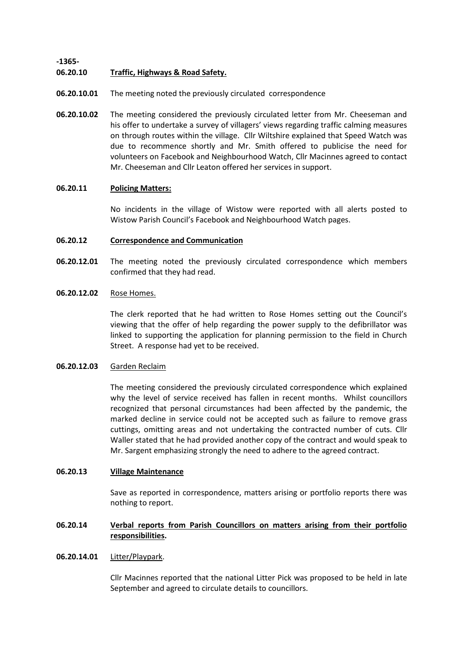**-1365-**

#### **06.20.10 Traffic, Highways & Road Safety.**

- **06.20.10.01** The meeting noted the previously circulated correspondence
- **06.20.10.02** The meeting considered the previously circulated letter from Mr. Cheeseman and his offer to undertake a survey of villagers' views regarding traffic calming measures on through routes within the village. Cllr Wiltshire explained that Speed Watch was due to recommence shortly and Mr. Smith offered to publicise the need for volunteers on Facebook and Neighbourhood Watch, Cllr Macinnes agreed to contact Mr. Cheeseman and Cllr Leaton offered her services in support.

## **06.20.11 Policing Matters:**

No incidents in the village of Wistow were reported with all alerts posted to Wistow Parish Council's Facebook and Neighbourhood Watch pages.

## **06.20.12 Correspondence and Communication**

**06.20.12.01** The meeting noted the previously circulated correspondence which members confirmed that they had read.

#### **06.20.12.02** Rose Homes.

The clerk reported that he had written to Rose Homes setting out the Council's viewing that the offer of help regarding the power supply to the defibrillator was linked to supporting the application for planning permission to the field in Church Street. A response had yet to be received.

#### **06.20.12.03** Garden Reclaim

The meeting considered the previously circulated correspondence which explained why the level of service received has fallen in recent months. Whilst councillors recognized that personal circumstances had been affected by the pandemic, the marked decline in service could not be accepted such as failure to remove grass cuttings, omitting areas and not undertaking the contracted number of cuts. Cllr Waller stated that he had provided another copy of the contract and would speak to Mr. Sargent emphasizing strongly the need to adhere to the agreed contract.

## **06.20.13 Village Maintenance**

Save as reported in correspondence, matters arising or portfolio reports there was nothing to report.

#### **06.20.14 Verbal reports from Parish Councillors on matters arising from their portfolio responsibilities.**

#### **06.20.14.01** Litter/Playpark.

Cllr Macinnes reported that the national Litter Pick was proposed to be held in late September and agreed to circulate details to councillors.